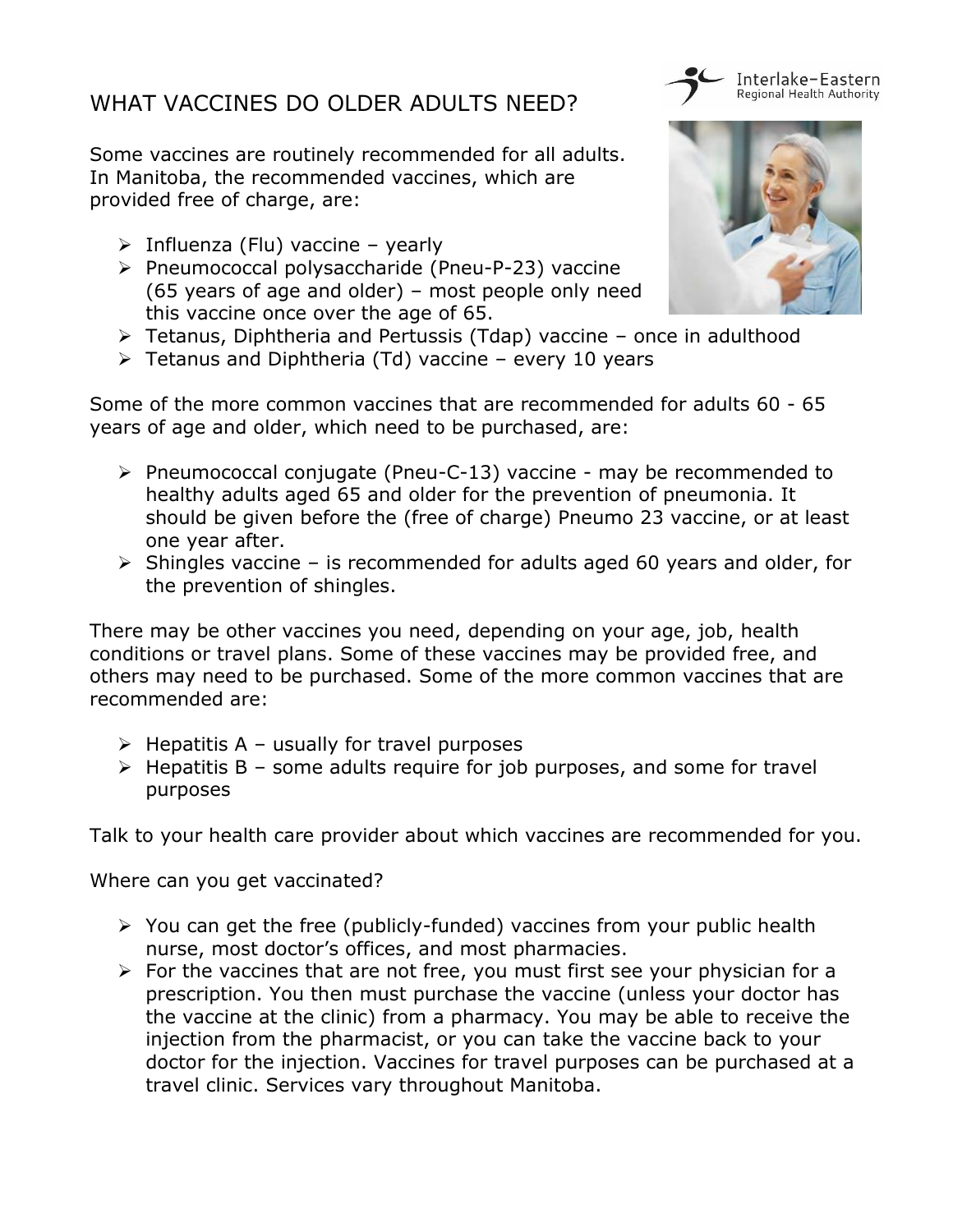## WHAT VACCINES DO OLDER ADULTS NEED?

Some vaccines are routinely recommended for all adults. In Manitoba, the recommended vaccines, which are provided free of charge, are:

- $\triangleright$  Influenza (Flu) vaccine yearly
- ▶ Pneumococcal polysaccharide (Pneu-P-23) vaccine (65 years of age and older) – most people only need this vaccine once over the age of 65.



Interlake-Eastern Regional Health Authority

- $\triangleright$  Tetanus, Diphtheria and Pertussis (Tdap) vaccine once in adulthood
- $\triangleright$  Tetanus and Diphtheria (Td) vaccine every 10 years

Some of the more common vaccines that are recommended for adults 60 - 65 years of age and older, which need to be purchased, are:

- $\triangleright$  Pneumococcal conjugate (Pneu-C-13) vaccine may be recommended to healthy adults aged 65 and older for the prevention of pneumonia. It should be given before the (free of charge) Pneumo 23 vaccine, or at least one year after.
- $\triangleright$  Shingles vaccine is recommended for adults aged 60 years and older, for the prevention of shingles.

There may be other vaccines you need, depending on your age, job, health conditions or travel plans. Some of these vaccines may be provided free, and others may need to be purchased. Some of the more common vaccines that are recommended are:

- $\triangleright$  Hepatitis A usually for travel purposes
- $\triangleright$  Hepatitis B some adults require for job purposes, and some for travel purposes

Talk to your health care provider about which vaccines are recommended for you.

Where can you get vaccinated?

- $\triangleright$  You can get the free (publicly-funded) vaccines from your public health nurse, most doctor's offices, and most pharmacies.
- $\triangleright$  For the vaccines that are not free, you must first see your physician for a prescription. You then must purchase the vaccine (unless your doctor has the vaccine at the clinic) from a pharmacy. You may be able to receive the injection from the pharmacist, or you can take the vaccine back to your doctor for the injection. Vaccines for travel purposes can be purchased at a travel clinic. Services vary throughout Manitoba.